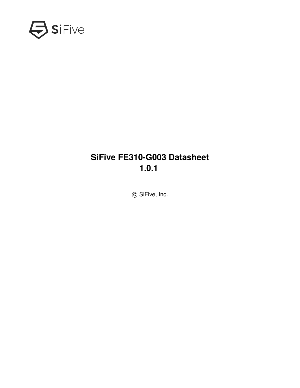<span id="page-0-0"></span>

## **SiFive FE310-G003 Datasheet 1.0.1**

 $©$  SiFive, Inc.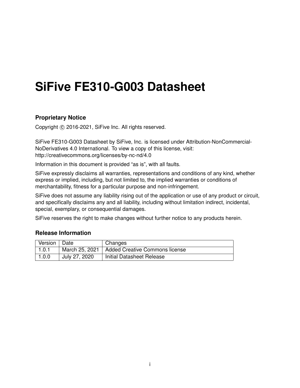# **SiFive FE310-G003 Datasheet**

### **Proprietary Notice**

Copyright © 2016-2021, SiFive Inc. All rights reserved.

SiFive FE310-G003 Datasheet by SiFive, Inc. is licensed under Attribution-NonCommercial-NoDerivatives 4.0 International. To view a copy of this license, visit: http://creativecommons.org/licenses/by-nc-nd/4.0

Information in this document is provided "as is", with all faults.

SiFive expressly disclaims all warranties, representations and conditions of any kind, whether express or implied, including, but not limited to, the implied warranties or conditions of merchantability, fitness for a particular purpose and non-infringement.

SiFive does not assume any liability rising out of the application or use of any product or circuit, and specifically disclaims any and all liability, including without limitation indirect, incidental, special, exemplary, or consequential damages.

SiFive reserves the right to make changes without further notice to any products herein.

### **Release Information**

| Version   Date |               | Changes                                         |
|----------------|---------------|-------------------------------------------------|
| 1.0.1          |               | March 25, 2021   Added Creative Commons license |
| 1.0.0          | July 27, 2020 | Initial Datasheet Release                       |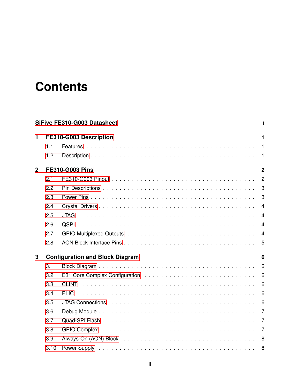# **Contents**

|                |      | SiFive FE310-G003 Datasheet                                                                                                         | j.                         |
|----------------|------|-------------------------------------------------------------------------------------------------------------------------------------|----------------------------|
| 1              |      | FE310-G003 Description                                                                                                              | $\mathbf 1$                |
|                | 1.1  |                                                                                                                                     | $\overline{\phantom{0}}$ 1 |
|                | 1.2  |                                                                                                                                     |                            |
| $\overline{2}$ |      | <b>FE310-G003 Pins</b>                                                                                                              | $\overline{2}$             |
|                | 2.1  |                                                                                                                                     | $\overline{2}$             |
|                | 2.2  |                                                                                                                                     | 3                          |
|                | 2.3  |                                                                                                                                     | 3                          |
|                | 2.4  |                                                                                                                                     | $\overline{4}$             |
|                | 2.5  |                                                                                                                                     | $\overline{4}$             |
|                | 2.6  |                                                                                                                                     | $\overline{4}$             |
|                | 2.7  |                                                                                                                                     | $\overline{4}$             |
|                | 2.8  |                                                                                                                                     | 5                          |
| 3              |      | <b>Configuration and Block Diagram</b>                                                                                              | 6                          |
|                | 3.1  |                                                                                                                                     | $6\phantom{1}6$            |
|                | 3.2  |                                                                                                                                     | 6                          |
|                | 3.3  |                                                                                                                                     | 6                          |
|                | 3.4  |                                                                                                                                     | 6                          |
|                | 3.5  |                                                                                                                                     | 6                          |
|                | 3.6  |                                                                                                                                     | $\overline{7}$             |
|                | 3.7  |                                                                                                                                     | $\overline{7}$             |
|                | 3.8  |                                                                                                                                     | $\overline{7}$             |
|                | 3.9  |                                                                                                                                     | 8                          |
|                | 3.10 | Power Supply (and a series are a series and a series are series and a series and a series are series and a series of $\mathbb{R}^n$ | 8                          |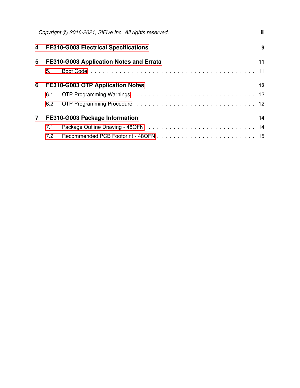|                |     | Copyright (C) 2016-2021, SiFive Inc. All rights reserved. | iii. |
|----------------|-----|-----------------------------------------------------------|------|
| 4              |     | <b>FE310-G003 Electrical Specifications</b>               | 9    |
| 5              |     | FE310-G003 Application Notes and Errata                   | 11   |
|                | 5.1 |                                                           |      |
| 6              |     | FE310-G003 OTP Application Notes                          | 12   |
|                | 6.1 |                                                           |      |
|                | 6.2 |                                                           |      |
| $\overline{7}$ |     | FE310-G003 Package Information                            | 14   |
|                | 7.1 |                                                           |      |
|                | 7.2 |                                                           |      |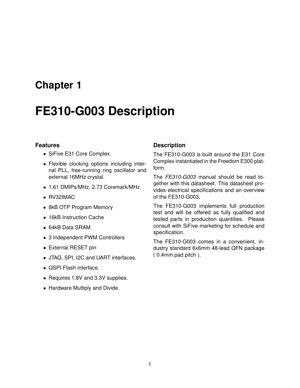# <span id="page-4-0"></span>**FE310-G003 Description**

#### <span id="page-4-1"></span>**Features**

- SiFive E31 Core Complex.
- Flexible clocking options including internal PLL, free-running ring oscillator and external 16MHz crystal.
- 1.61 DMIPs/MHz, 2.73 Coremark/MHz
- RV32IMAC
- 8kB OTP Program Memory
- 16kB Instruction Cache
- 64kB Data SRAM
- 3 Independent PWM Controllers
- External RESET pin
- JTAG, SPI, I2C and UART interfaces.
- QSPI Flash interface.
- Requires 1.8V and 3.3V supplies.
- Hardware Multiply and Divide

#### <span id="page-4-2"></span>**Description**

The FE310-G003 is built around the E31 Core Complex instantiated in the Freedom E300 platform.

The *FE310-G003* manual should be read together with this datasheet. This datasheet provides electrical specifications and an overview of the FE310-G003.

The FE310-G003 implements full production test and will be offered as fully qualified and tested parts in produciton quantities. Please consult with SiFive marketing for schedule and specification.

The FE310-G003 comes in a convenient, industry standard 6x6mm 48-lead QFN package ( 0.4mm pad pitch ).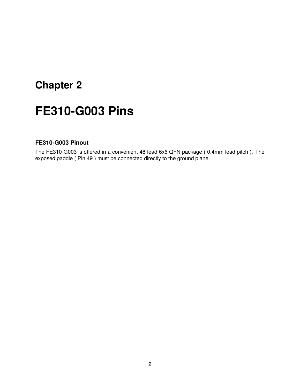# <span id="page-5-0"></span>**FE310-G003 Pins**

#### <span id="page-5-1"></span>**FE310-G003 Pinout**

The FE310-G003 is offered in a convenient 48-lead 6x6 QFN package ( 0.4mm lead pitch ). The exposed paddle ( Pin 49 ) must be connected directly to the ground plane.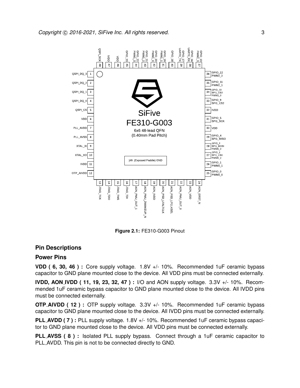

**Figure 2.1:** FE310-G003 Pinout

### <span id="page-6-0"></span>**Pin Descriptions**

#### <span id="page-6-1"></span>**Power Pins**

**VDD ( 6, 30, 46 ) :** Core supply voltage. 1.8V +/- 10%. Recommended 1uF ceramic bypass capacitor to GND plane mounted close to the device. All VDD pins must be connected externally.

**IVDD, AON IVDD ( 11, 19, 23, 32, 47 ) :** I/O and AON supply voltage. 3.3V +/- 10%. Recommended 1uF ceramic bypass capacitor to GND plane mounted close to the device. All IVDD pins must be connected externally.

**OTP\_AIVDD (12):** OTP supply voltage. 3.3V +/- 10%. Recommended 1uF ceramic bypass capacitor to GND plane mounted close to the device. All IVDD pins must be connected externally.

**PLL AVDD ( 7 ) :** PLL supply voltage. 1.8V +/- 10%. Recommended 1uF ceramic bypass capacitor to GND plane mounted close to the device. All VDD pins must be connected externally.

**PLL AVSS ( 8 ) :** Isolated PLL supply bypass. Connect through a 1uF ceramic capacitor to PLL\_AVDD. This pin is not to be connected directly to GND.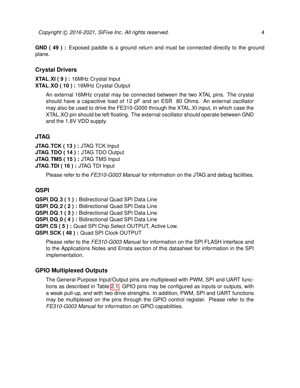**GND ( 49 ) :** Exposed paddle is a ground return and must be connected directly to the ground plane.

### <span id="page-7-0"></span>**Crystal Drivers**

**XTAL XI ( 9 ) :** 16MHz Crystal Input **XTAL XO ( 10 ) :** 16MHz Crystal Output

> An external 16MHz crystal may be connected between the two XTAL pins. The crystal should have a capacitive load of 12 pF and an ESR 80 Ohms. An external oscillator may also be used to drive the FE310-G000 through the XTAL XI input, in which case the XTAL XO pin should be left floating. The external oscillator should operate between GND and the 1.8V VDD supply.

### <span id="page-7-1"></span>**JTAG**

**JTAG TCK ( 13 ) :** JTAG TCK Input **JTAG TDO ( 14 ) :** JTAG TDO Output **JTAG TMS ( 15 ) :** JTAG TMS Input **JTAG TDI ( 16 ) :** JTAG TDI Input

Please refer to the *FE310-G003 Manual* for information on the JTAG and debug facilities.

#### <span id="page-7-2"></span>**QSPI**

**QSPI DQ 3 ( 1 ) :** Bidirectional Quad SPI Data Line **QSPI DQ 2 ( 2 ) :** Bidirectional Quad SPI Data Line **QSPI DQ 1 ( 3 ) :** Bidirectional Quad SPI Data Line **QSPI DQ 0 ( 4 ) :** Bidirectional Quad SPI Data Line **QSPI CS ( 5 ) :** Quad SPI Chip Select OUTPUT, Active Low. **QSPI SCK ( 48 ) :** Quad SPI Clock OUTPUT

Please refer to the *FE310-G003 Manual* for information on the SPI FLASH interface and to the Applications Notes and Errata section of this datasheet for information in the SPI implementation.

### <span id="page-7-3"></span>**GPIO Multiplexed Outputs**

The General Purpose Input/Output pins are multiplexed with PWM, SPI and UART functions as described in Table [2.1.](#page-8-1) GPIO pins may be configured as inputs or outputs, with a weak pull-up, and with two drive strengths. In addition, PWM, SPI and UART functions may be multiplexed on the pins through the GPIO control register. Please refer to the *FE310-G003 Manual* for information on GPIO capabilities.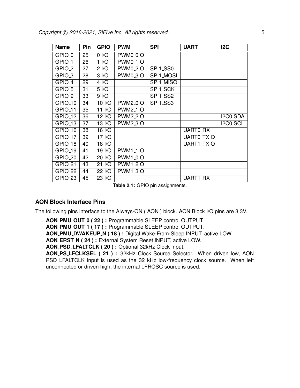<span id="page-8-1"></span>

| <b>Name</b>         | Pin | <b>GPIO</b>       | <b>PWM</b>                | <b>SPI</b> | <b>UART</b>            | 12C      |
|---------------------|-----|-------------------|---------------------------|------------|------------------------|----------|
| GPIO <sub>-0</sub>  | 25  | $0$ I/O           | <b>PWM0_0 O</b>           |            |                        |          |
| GPIO <sub>-1</sub>  | 26  | 1 <sub>1</sub> /O | <b>PWM0_1 O</b>           |            |                        |          |
| GPIO <sub>-2</sub>  | 27  | 2 <sub>1</sub> /O | <b>PWM0_2 O</b>           | SPI1_SS0   |                        |          |
| GPIO <sub>-3</sub>  | 28  | 3 I/O             | <b>PWM0<sub>-3</sub>O</b> | SPI1_MOSI  |                        |          |
| GPIO <sub>-4</sub>  | 29  | $4$ I/O           |                           | SPI1_MISO  |                        |          |
| GPIO <sub>-5</sub>  | 31  | 5 I/O             |                           | SPI1_SCK   |                        |          |
| GPIO <sub>-9</sub>  | 33  | 9 I/O             |                           | SPI1_SS2   |                        |          |
| GPIO <sub>-10</sub> | 34  | 10 I/O            | <b>PWM2_0 O</b>           | SPI1_SS3   |                        |          |
| GPIO <sub>-11</sub> | 35  | 11 I/O            | <b>PWM2_1 O</b>           |            |                        |          |
| GPIO <sub>-12</sub> | 36  | 12 I/O            | <b>PWM2_2 O</b>           |            |                        | I2C0 SDA |
| GPIO <sub>-13</sub> | 37  | 13 I/O            | <b>PWM2_3 O</b>           |            |                        | I2C0 SCL |
| GPIO <sub>-16</sub> | 38  | 16 I/O            |                           |            | UARTO_RX I             |          |
| GPIO <sub>-17</sub> | 39  | 17 I/O            |                           |            | UART0 <sub>-</sub> TXO |          |
| GPIO <sub>-18</sub> | 40  | 18 I/O            |                           |            | UART1_TX O             |          |
| GPIO <sub>-19</sub> | 41  | 19 I/O            | <b>PWM1_1 O</b>           |            |                        |          |
| GPIO <sub>-20</sub> | 42  | 20 I/O            | <b>PWM1_0 O</b>           |            |                        |          |
| GPIO <sub>_21</sub> | 43  | 21 I/O            | <b>PWM1_2 O</b>           |            |                        |          |
| GPIO <sub>22</sub>  | 44  | 22 I/O            | <b>PWM1_3 O</b>           |            |                        |          |
| GPIO <sub>-23</sub> | 45  | 23 I/O            |                           |            | UART1_RXI              |          |

**Table 2.1:** GPIO pin assignments.

#### <span id="page-8-0"></span>**AON Block Interface Pins**

The following pins interface to the Always-ON ( AON ) block. AON Block I/O pins are 3.3V.

**AON PMU OUT 0 ( 22 ) :** Programmable SLEEP control OUTPUT.

**AON PMU OUT 1 ( 17 ) :** Programmable SLEEP control OUTPUT.

**AON PMU DWAKEUP N ( 18 ) :** Digital Wake-From-Sleep INPUT, active LOW.

**AON ERST N ( 24 ) :** External System Reset INPUT, active LOW.

**AON PSD LFALTCLK ( 20 ) :** Optional 32kHz Clock Input.

**AON PS LFCLKSEL ( 21 ) :** 32kHz Clock Source Selector. When driven low, AON PSD LFALTCLK input is used as the 32 kHz low-frequency clock source. When left unconnected or driven high, the internal LFROSC source is used.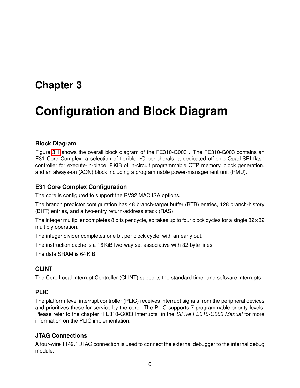# <span id="page-9-0"></span>**Configuration and Block Diagram**

### <span id="page-9-1"></span>**Block Diagram**

Figure [3.1](#page-10-3) shows the overall block diagram of the FE310-G003 . The FE310-G003 contains an E31 Core Complex, a selection of flexible I/O peripherals, a dedicated off-chip Quad-SPI flash controller for execute-in-place, 8 KiB of in-circuit programmable OTP memory, clock generation, and an always-on (AON) block including a programmable power-management unit (PMU).

### <span id="page-9-2"></span>**E31 Core Complex Configuration**

The core is configured to support the RV32IMAC ISA options.

The branch predictor configuration has 48 branch-target buffer (BTB) entries, 128 branch-history (BHT) entries, and a two-entry return-address stack (RAS).

The integer multiplier completes 8 bits per cycle, so takes up to four clock cycles for a single  $32\times32$ multiply operation.

The integer divider completes one bit per clock cycle, with an early out.

The instruction cache is a 16 KiB two-way set associative with 32-byte lines.

The data SRAM is 64 KiB.

### <span id="page-9-3"></span>**CLINT**

The Core Local Interrupt Controller (CLINT) supports the standard timer and software interrupts.

### <span id="page-9-4"></span>**PLIC**

The platform-level interrupt controller (PLIC) receives interrupt signals from the peripheral devices and prioritizes these for service by the core. The PLIC supports 7 programmable priority levels. Please refer to the chapter "FE310-G003 Interrupts" in the *SiFive FE310-G003 Manual* for more information on the PLIC implementation.

### <span id="page-9-5"></span>**JTAG Connections**

A four-wire 1149.1 JTAG connection is used to connect the external debugger to the internal debug module.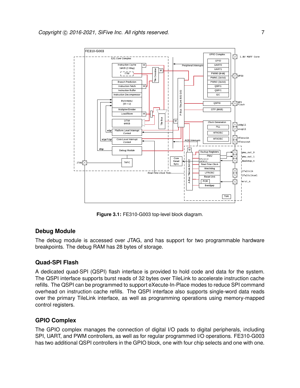<span id="page-10-3"></span>

**Figure 3.1:** FE310-G003 top-level block diagram.

#### <span id="page-10-0"></span>**Debug Module**

The debug module is accessed over JTAG, and has support for two programmable hardware breakpoints. The debug RAM has 28 bytes of storage.

### <span id="page-10-1"></span>**Quad-SPI Flash**

A dedicated quad-SPI (QSPI) flash interface is provided to hold code and data for the system. The QSPI interface supports burst reads of 32 bytes over TileLink to accelerate instruction cache refills. The QSPI can be programmed to support eXecute-In-Place modes to reduce SPI command overhead on instruction cache refills. The QSPI interface also supports single-word data reads over the primary TileLink interface, as well as programming operations using memory-mapped control registers.

### <span id="page-10-2"></span>**GPIO Complex**

The GPIO complex manages the connection of digital I/O pads to digital peripherals, including SPI, UART, and PWM controllers, as well as for regular programmed I/O operations. FE310-G003 has two additional QSPI controllers in the GPIO block, one with four chip selects and one with one.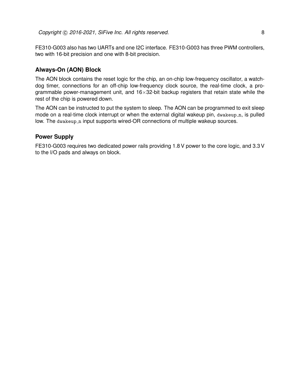FE310-G003 also has two UARTs and one I2C interface. FE310-G003 has three PWM controllers, two with 16-bit precision and one with 8-bit precision.

### <span id="page-11-0"></span>**Always-On (AON) Block**

The AON block contains the reset logic for the chip, an on-chip low-frequency oscillator, a watchdog timer, connections for an off-chip low-frequency clock source, the real-time clock, a programmable power-management unit, and  $16\times32$ -bit backup registers that retain state while the rest of the chip is powered down.

The AON can be instructed to put the system to sleep. The AON can be programmed to exit sleep mode on a real-time clock interrupt or when the external digital wakeup pin, dwakeup n, is pulled low. The dwakeup\_n input supports wired-OR connections of multiple wakeup sources.

### <span id="page-11-1"></span>**Power Supply**

FE310-G003 requires two dedicated power rails providing 1.8 V power to the core logic, and 3.3 V to the I/O pads and always on block.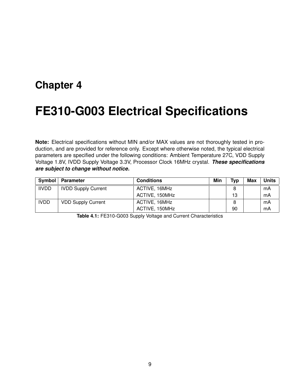# <span id="page-12-0"></span>**FE310-G003 Electrical Specifications**

**Note:** Electrical specifications without MIN and/or MAX values are not thoroughly tested in production, and are provided for reference only. Except where otherwise noted, the typical electrical parameters are specified under the following conditions: Ambient Temperature 27C, VDD Supply Voltage 1.8V, IVDD Supply Voltage 3.3V, Processor Clock 16MHz crystal. *These specifications are subject to change without notice.*

| Symbol       | Parameter                  | <b>Conditions</b> | Min | Typ | <b>Max</b> | <b>Units</b> |
|--------------|----------------------------|-------------------|-----|-----|------------|--------------|
| <b>IIVDD</b> | <b>IVDD Supply Current</b> | ACTIVE, 16MHz     |     |     |            | mA           |
|              |                            | ACTIVE, 150MHz    |     | 13  |            | mA           |
| <b>IVDD</b>  | <b>VDD Supply Current</b>  | ACTIVE, 16MHz     |     |     |            | mA           |
|              |                            | ACTIVE, 150MHz    |     | 90  |            | mA           |

**Table 4.1:** FE310-G003 Supply Voltage and Current Characteristics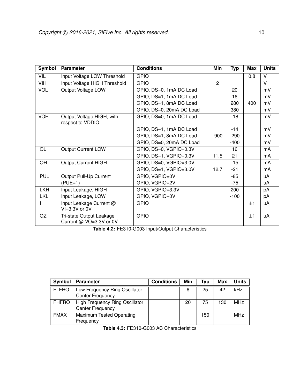| Symbol      | <b>Parameter</b>                                    | <b>Conditions</b>        | Min            | <b>Typ</b> | <b>Max</b> | <b>Units</b> |
|-------------|-----------------------------------------------------|--------------------------|----------------|------------|------------|--------------|
| VIL         | Input Voltage LOW Threshold                         | <b>GPIO</b>              |                |            | 0.8        | $\vee$       |
| VIH         | Input Voltage HIGH Threshold                        | <b>GPIO</b>              | $\overline{2}$ |            |            | $\vee$       |
| VOL         | Output Voltage LOW                                  | GPIO, DS=0, 1mA DC Load  |                | 20         |            | mV           |
|             |                                                     | GPIO, DS=1, 1mA DC Load  |                | 16         |            | mV           |
|             |                                                     | GPIO, DS=1, 8mA DC Load  |                | 280        | 400        | mV           |
|             |                                                     | GPIO, DS=0, 20mA DC Load |                | 380        |            | mV           |
| <b>VOH</b>  | Output Voltage HIGH, with<br>respect to VDDIO       | GPIO, DS=0, 1mA DC Load  |                | $-18$      |            | mV           |
|             |                                                     | GPIO, DS=1, 1mA DC Load  |                | $-14$      |            | mV           |
|             |                                                     | GPIO, DS=1, 8mA DC Load  | $-900$         | $-290$     |            | mV           |
|             |                                                     | GPIO, DS=0, 20mA DC Load |                | $-400$     |            | mV           |
| IOL         | <b>Output Current LOW</b>                           | GPIO, DS=0, VGPIO=0.3V   |                | 16         |            | mA           |
|             |                                                     | GPIO, DS=1, VGPIO=0.3V   | 11.5           | 21         |            | mA           |
| <b>IOH</b>  | <b>Output Current HIGH</b>                          | GPIO, DS=0, VGPIO=3.0V   |                | $-15$      |            | mA           |
|             |                                                     | GPIO, DS=1, VGPIO=3.0V   | 12.7           | $-21$      |            | mA           |
| <b>IPUL</b> | Output Pull-Up Current                              | GPIO, VGPIO=0V           |                | $-85$      |            | uA           |
|             | $(PUE=1)$                                           | GPIO, VGPIO=2V           |                | $-75$      |            | uA           |
| <b>ILKH</b> | Input Leakage, HIGH                                 | GPIO, VGPIO=3.3V         |                | 200        |            | pA           |
| <b>ILKL</b> | Input Leakage, LOW                                  | GPIO, VGPIO=0V           |                | $-100$     |            | рA           |
| Ш           | Input Leakage Current @<br>VI=3.3V or 0V            | <b>GPIO</b>              |                |            | $+1$       | uA           |
| IOZ         | Tri-state Output Leakage<br>Current @ VO=3.3V or 0V | <b>GPIO</b>              |                |            | $\pm$ 1    | uA           |

**Table 4.2:** FE310-G003 Input/Output Characteristics

| Symbol       | <b>Parameter</b>                                                 | <b>Conditions</b> | Min | Tvp | Max | <b>Units</b> |
|--------------|------------------------------------------------------------------|-------------------|-----|-----|-----|--------------|
| <b>FLFRO</b> | Low Frequency Ring Oscillator<br><b>Center Frequency</b>         |                   | 6   | 25  | 42  | kHz          |
| <b>FHFRO</b> | <b>High Frequency Ring Oscillator</b><br><b>Center Frequency</b> |                   | 20  | 75  | 130 | <b>MHz</b>   |
| <b>FMAX</b>  | Maximum Tested Operating<br>Frequency                            |                   |     | 150 |     | <b>MHz</b>   |

**Table 4.3:** FE310-G003 AC Characteristics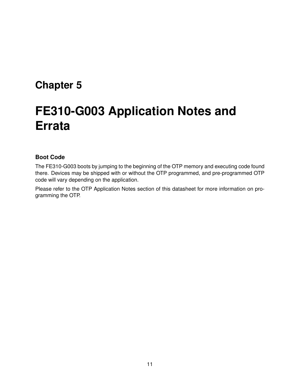# <span id="page-14-0"></span>**FE310-G003 Application Notes and Errata**

### <span id="page-14-1"></span>**Boot Code**

The FE310-G003 boots by jumping to the beginning of the OTP memory and executing code found there. Devices may be shipped with or without the OTP programmed, and pre-programmed OTP code will vary depending on the application.

Please refer to the OTP Application Notes section of this datasheet for more information on programming the OTP.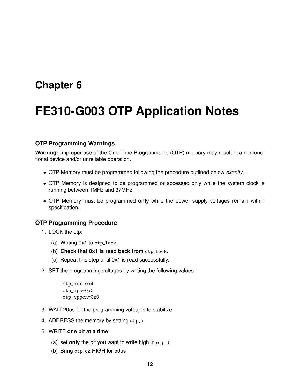# <span id="page-15-0"></span>**FE310-G003 OTP Application Notes**

### <span id="page-15-1"></span>**OTP Programming Warnings**

**Warning:** Improper use of the One Time Programmable (OTP) memory may result in a nonfunctional device and/or unreliable operation.

- OTP Memory must be programmed following the procedure outlined below *exactly*.
- OTP Memory is designed to be programmed or accessed only while the system clock is running between 1MHz and 37MHz.
- OTP Memory must be programmed **only** while the power supply voltages remain within specification.

#### <span id="page-15-2"></span>**OTP Programming Procedure**

- 1. LOCK the otp:
	- (a) Writing  $0x1$  to  $otp\_lock$
	- (b) **Check that 0x1 is read back from** otp\_lock.
	- (c) Repeat this step until 0x1 is read successfully.
- 2. SET the programming voltages by writing the following values:

```
otp_mrr=0x4
otp_mpp=0x0
otp_vppen=0x0
```
- 3. WAIT 20us for the programming voltages to stabilize
- 4. ADDRESS the memory by setting otp\_a
- 5. WRITE **one bit at a time**:
	- (a) set **only** the bit you want to write high in  $otp_{d}$
	- (b) Bring otp ck HIGH for 50us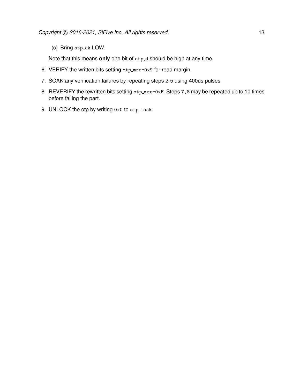(c) Bring otp\_ck LOW.

Note that this means only one bit of otp<sub>-d</sub> should be high at any time.

- 6. VERIFY the written bits setting otp\_mrr=0x9 for read margin.
- 7. SOAK any verification failures by repeating steps 2-5 using 400us pulses.
- 8. REVERIFY the rewritten bits setting otp\_mrr=0xF. Steps 7,8 may be repeated up to 10 times before failing the part.
- 9. UNLOCK the otp by writing 0x0 to otp\_lock.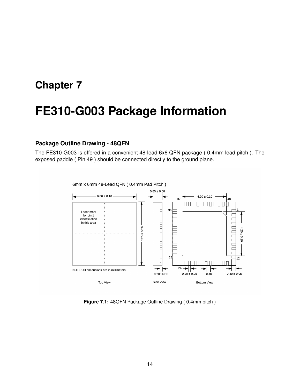# <span id="page-17-0"></span>**FE310-G003 Package Information**

#### <span id="page-17-1"></span>**Package Outline Drawing - 48QFN**

The FE310-G003 is offered in a convenient 48-lead 6x6 QFN package ( 0.4mm lead pitch ). The exposed paddle ( Pin 49 ) should be connected directly to the ground plane.



6mm x 6mm 48-Lead QFN (0.4mm Pad Pitch)

**Figure 7.1:** 48QFN Package Outline Drawing ( 0.4mm pitch )